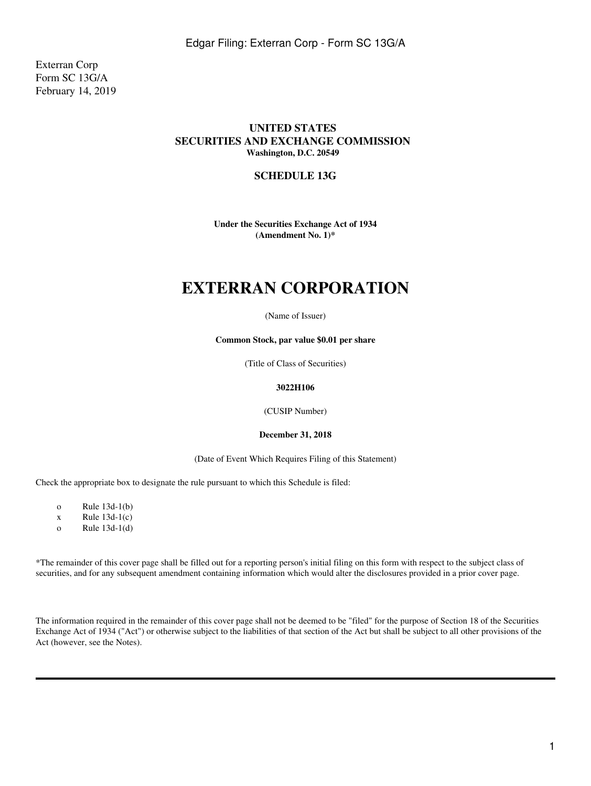Exterran Corp Form SC 13G/A February 14, 2019

### **UNITED STATES SECURITIES AND EXCHANGE COMMISSION Washington, D.C. 20549**

### **SCHEDULE 13G**

**Under the Securities Exchange Act of 1934 (Amendment No. 1)\***

# **EXTERRAN CORPORATION**

#### (Name of Issuer)

**Common Stock, par value \$0.01 per share**

(Title of Class of Securities)

#### **3022H106**

(CUSIP Number)

#### **December 31, 2018**

(Date of Event Which Requires Filing of this Statement)

Check the appropriate box to designate the rule pursuant to which this Schedule is filed:

o Rule 13d-1(b)

 $x$  Rule 13d-1(c)

o Rule 13d-1(d)

\*The remainder of this cover page shall be filled out for a reporting person's initial filing on this form with respect to the subject class of securities, and for any subsequent amendment containing information which would alter the disclosures provided in a prior cover page.

The information required in the remainder of this cover page shall not be deemed to be "filed" for the purpose of Section 18 of the Securities Exchange Act of 1934 ("Act") or otherwise subject to the liabilities of that section of the Act but shall be subject to all other provisions of the Act (however, see the Notes).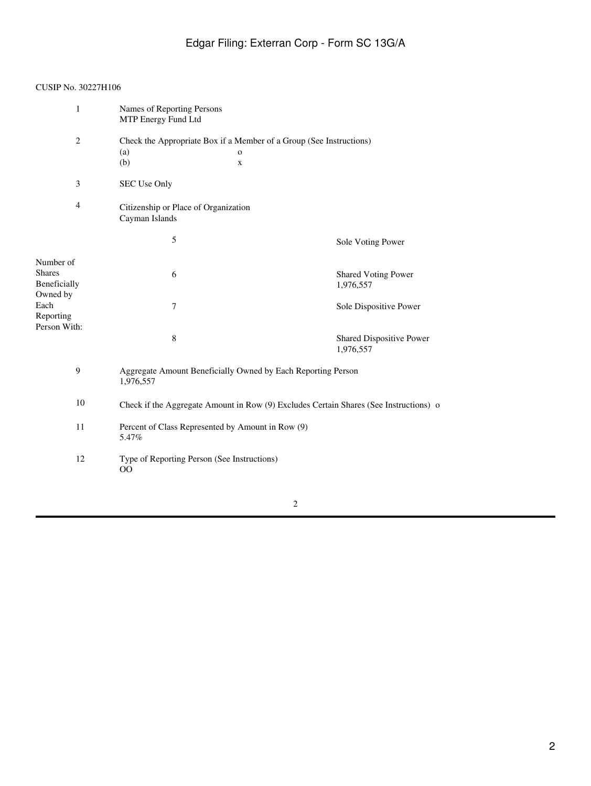# Edgar Filing: Exterran Corp - Form SC 13G/A

### CUSIP No. 30227H106

| 1              | Names of Reporting Persons<br>MTP Energy Fund Ltd                                     |              |                            |  |
|----------------|---------------------------------------------------------------------------------------|--------------|----------------------------|--|
| 2              | Check the Appropriate Box if a Member of a Group (See Instructions)                   |              |                            |  |
|                | (a)                                                                                   | $\mathbf{o}$ |                            |  |
|                | (b)                                                                                   | X            |                            |  |
| 3              | SEC Use Only                                                                          |              |                            |  |
| $\overline{4}$ | Citizenship or Place of Organization<br>Cayman Islands                                |              |                            |  |
|                | 5                                                                                     |              | Sole Voting Power          |  |
| Number of      |                                                                                       |              |                            |  |
| <b>Shares</b>  | 6                                                                                     |              | <b>Shared Voting Power</b> |  |
| Beneficially   |                                                                                       |              | 1,976,557                  |  |
| Owned by       |                                                                                       |              |                            |  |
| Each           | 7                                                                                     |              | Sole Dispositive Power     |  |
| Reporting      |                                                                                       |              |                            |  |
| Person With:   |                                                                                       |              |                            |  |
|                | 8                                                                                     |              | Shared Dispositive Power   |  |
|                |                                                                                       |              | 1,976,557                  |  |
| 9              | Aggregate Amount Beneficially Owned by Each Reporting Person<br>1,976,557             |              |                            |  |
| 10             | Check if the Aggregate Amount in Row (9) Excludes Certain Shares (See Instructions) o |              |                            |  |
| 11             | Percent of Class Represented by Amount in Row (9)<br>5.47%                            |              |                            |  |
| 12             | Type of Reporting Person (See Instructions)<br>00                                     |              |                            |  |
|                |                                                                                       |              |                            |  |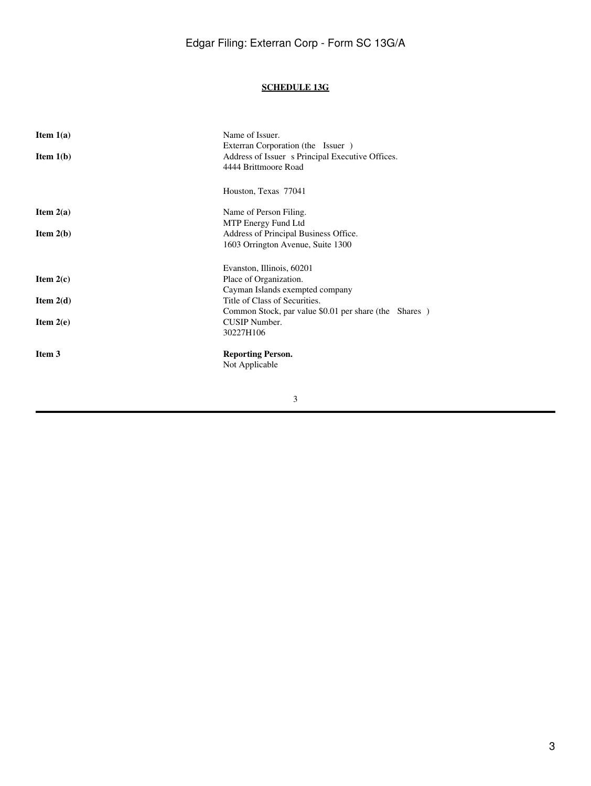### **SCHEDULE 13G**

| Item $1(a)$<br>Item $1(b)$ | Name of Issuer.<br>Exterran Corporation (the Issuer)<br>Address of Issuer s Principal Executive Offices.<br>4444 Brittmoore Road |
|----------------------------|----------------------------------------------------------------------------------------------------------------------------------|
|                            | Houston, Texas 77041                                                                                                             |
| Item $2(a)$<br>Item $2(b)$ | Name of Person Filing.<br>MTP Energy Fund Ltd<br>Address of Principal Business Office.<br>1603 Orrington Avenue, Suite 1300      |
|                            | Evanston, Illinois, 60201                                                                                                        |
| Item $2(c)$                | Place of Organization.<br>Cayman Islands exempted company                                                                        |
| Item $2(d)$                | Title of Class of Securities.<br>Common Stock, par value \$0.01 per share (the Shares)                                           |
| Item $2(e)$                | CUSIP Number.<br>30227H106                                                                                                       |
| Item 3                     | <b>Reporting Person.</b><br>Not Applicable                                                                                       |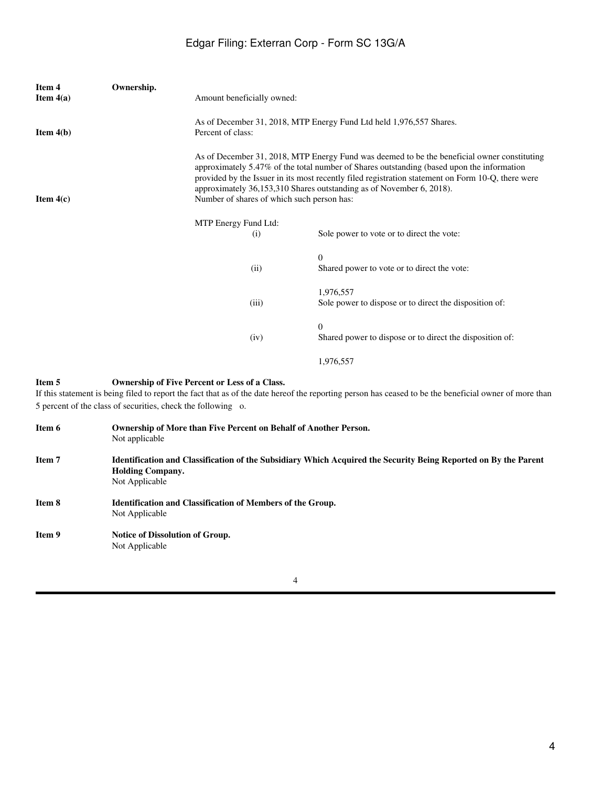## Edgar Filing: Exterran Corp - Form SC 13G/A

| Item 4<br>Item $4(a)$ | Ownership. | Amount beneficially owned:                                                                                                                                                                                                                                                                                                                                                                                          |                                                                      |
|-----------------------|------------|---------------------------------------------------------------------------------------------------------------------------------------------------------------------------------------------------------------------------------------------------------------------------------------------------------------------------------------------------------------------------------------------------------------------|----------------------------------------------------------------------|
| <b>Item 4(b)</b>      |            | As of December 31, 2018, MTP Energy Fund Ltd held 1,976,557 Shares.<br>Percent of class:                                                                                                                                                                                                                                                                                                                            |                                                                      |
| Item $4(c)$           |            | As of December 31, 2018, MTP Energy Fund was deemed to be the beneficial owner constituting<br>approximately 5.47% of the total number of Shares outstanding (based upon the information<br>provided by the Issuer in its most recently filed registration statement on Form 10-Q, there were<br>approximately 36,153,310 Shares outstanding as of November 6, 2018).<br>Number of shares of which such person has: |                                                                      |
|                       |            | MTP Energy Fund Ltd:<br>(i)                                                                                                                                                                                                                                                                                                                                                                                         | Sole power to vote or to direct the vote:                            |
|                       |            | (ii)                                                                                                                                                                                                                                                                                                                                                                                                                | $\Omega$<br>Shared power to vote or to direct the vote:              |
|                       |            | (iii)                                                                                                                                                                                                                                                                                                                                                                                                               | 1,976,557<br>Sole power to dispose or to direct the disposition of:  |
|                       |            | (iv)                                                                                                                                                                                                                                                                                                                                                                                                                | $\Omega$<br>Shared power to dispose or to direct the disposition of: |
|                       |            |                                                                                                                                                                                                                                                                                                                                                                                                                     | 1,976,557                                                            |

### **Item 5 Ownership of Five Percent or Less of a Class.**

If this statement is being filed to report the fact that as of the date hereof the reporting person has ceased to be the beneficial owner of more than 5 percent of the class of securities, check the following o.

| Item 6        | Ownership of More than Five Percent on Behalf of Another Person.<br>Not applicable                                                                           |
|---------------|--------------------------------------------------------------------------------------------------------------------------------------------------------------|
| Item 7        | Identification and Classification of the Subsidiary Which Acquired the Security Being Reported on By the Parent<br><b>Holding Company.</b><br>Not Applicable |
| Item 8        | <b>Identification and Classification of Members of the Group.</b><br>Not Applicable                                                                          |
| <b>Item 9</b> | <b>Notice of Dissolution of Group.</b><br>Not Applicable                                                                                                     |